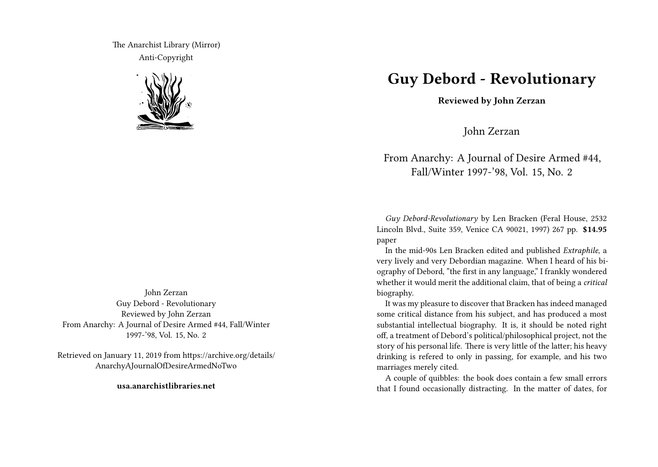The Anarchist Library (Mirror) Anti-Copyright



John Zerzan Guy Debord - Revolutionary Reviewed by John Zerzan From Anarchy: A Journal of Desire Armed #44, Fall/Winter 1997-'98, Vol. 15, No. 2

Retrieved on January 11, 2019 from https://archive.org/details/ AnarchyAJournalOfDesireArmedNoTwo

**usa.anarchistlibraries.net**

## **Guy Debord - Revolutionary**

**Reviewed by John Zerzan**

John Zerzan

## From Anarchy: A Journal of Desire Armed #44, Fall/Winter 1997-'98, Vol. 15, No. 2

*Guy Debord-Revolutionary* by Len Bracken (Feral House, 2532 Lincoln Blvd., Suite 359, Venice CA 90021, 1997) 267 pp. **\$14.95** paper

In the mid-90s Len Bracken edited and published *Extraphile*, a very lively and very Debordian magazine. When I heard of his biography of Debord, "the first in any language," I frankly wondered whether it would merit the additional claim, that of being a *critical* biography.

It was my pleasure to discover that Bracken has indeed managed some critical distance from his subject, and has produced a most substantial intellectual biography. It is, it should be noted right off, a treatment of Debord's political/philosophical project, not the story of his personal life. There is very little of the latter; his heavy drinking is refered to only in passing, for example, and his two marriages merely cited.

A couple of quibbles: the book does contain a few small errors that I found occasionally distracting. In the matter of dates, for